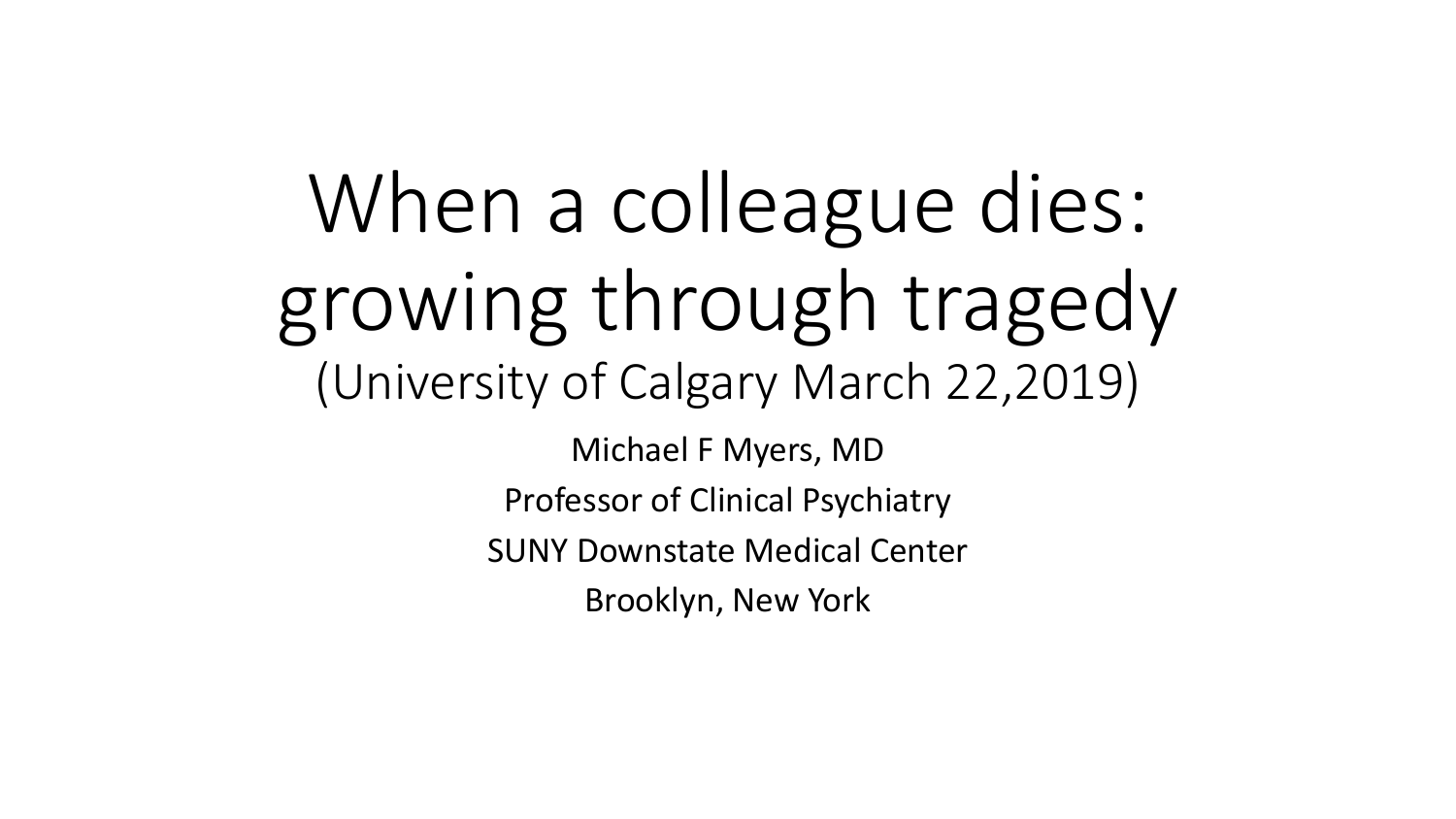When a colleague dies: growing through tragedy (University of Calgary March 22,2019)

Michael F Myers, MD Professor of Clinical Psychiatry SUNY Downstate Medical Center Brooklyn, New York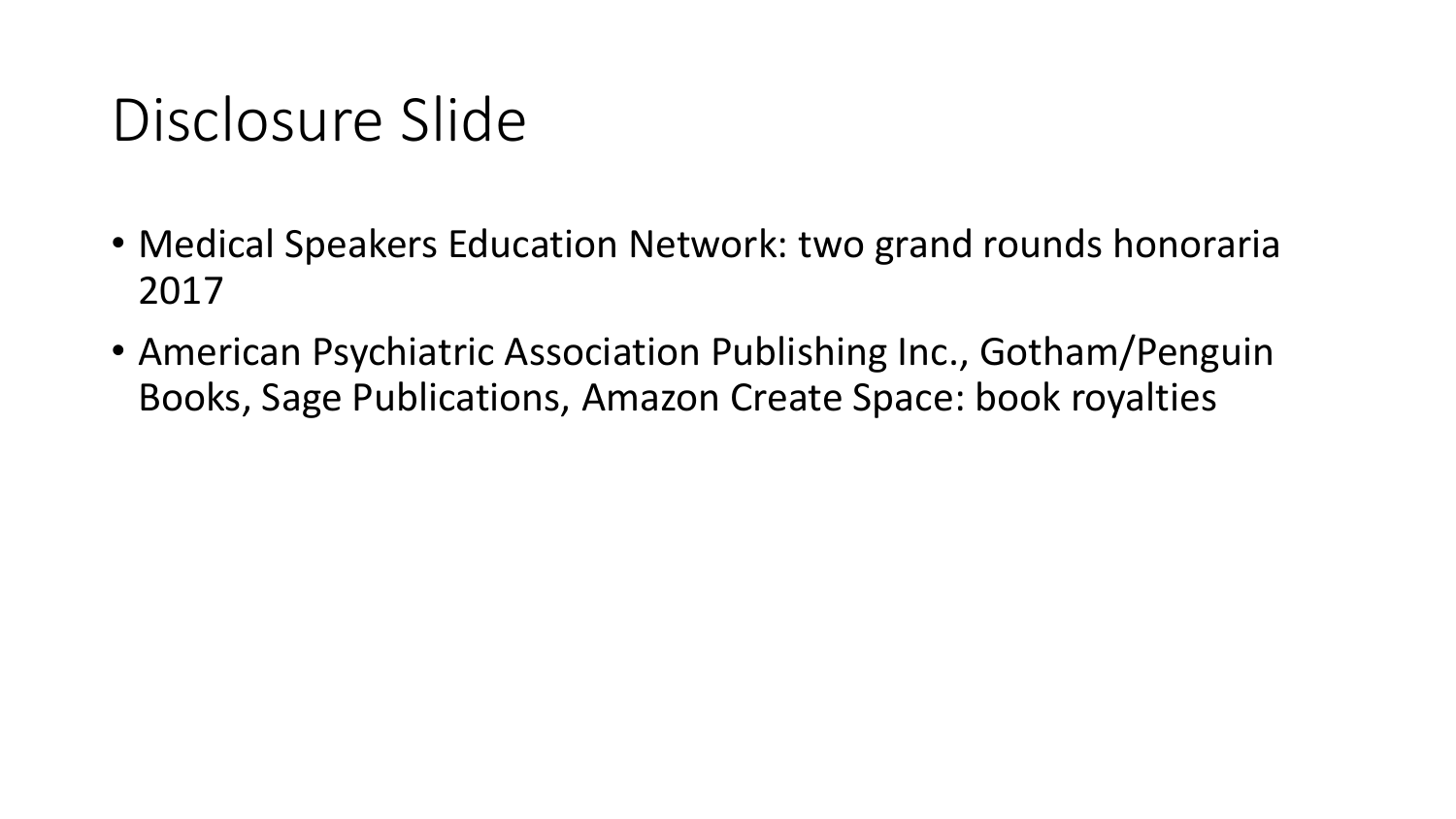### Disclosure Slide

- Medical Speakers Education Network: two grand rounds honoraria 2017
- American Psychiatric Association Publishing Inc., Gotham/Penguin Books, Sage Publications, Amazon Create Space: book royalties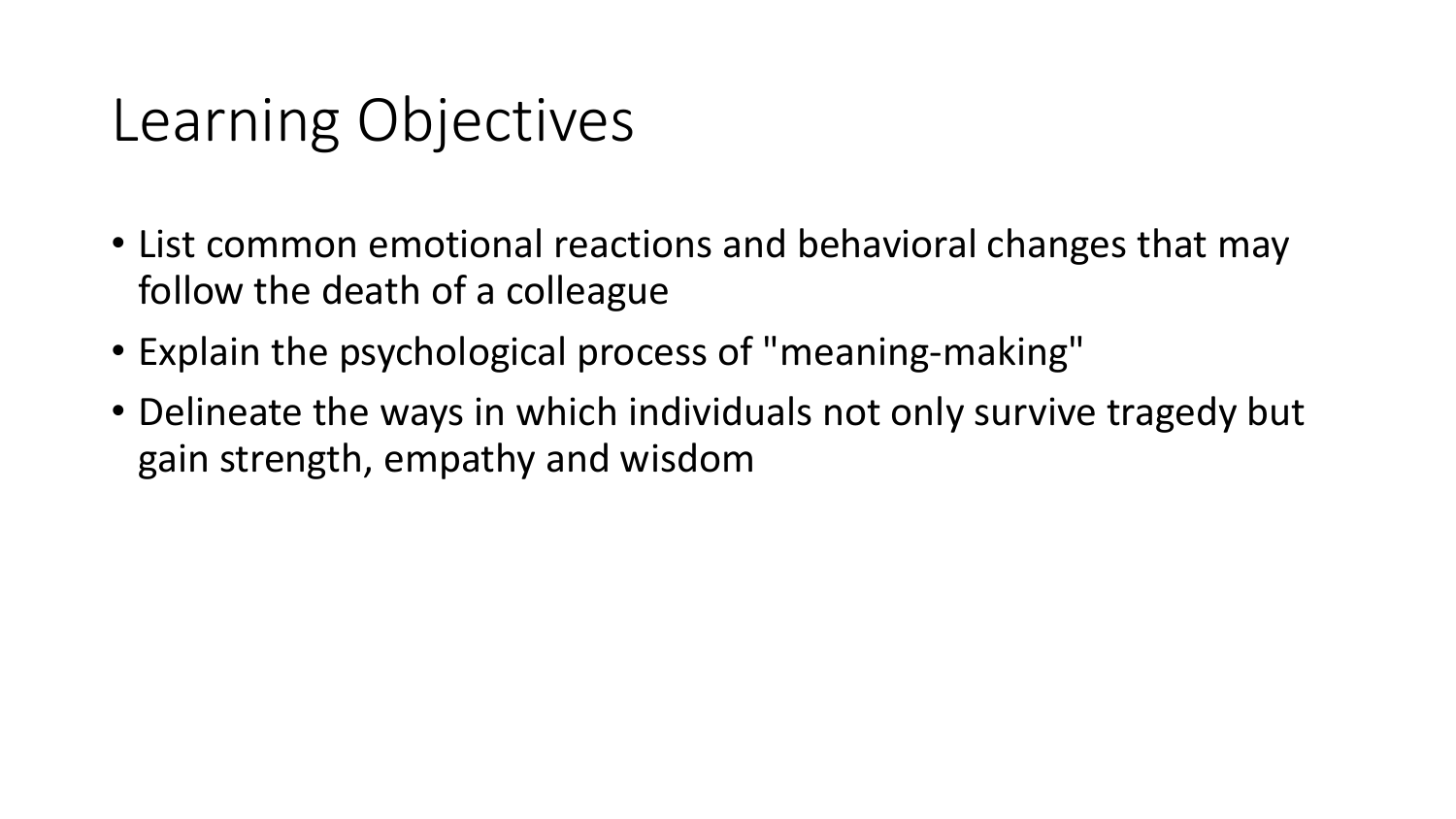#### Learning Objectives

- List common emotional reactions and behavioral changes that may follow the death of a colleague
- Explain the psychological process of "meaning-making"
- Delineate the ways in which individuals not only survive tragedy but gain strength, empathy and wisdom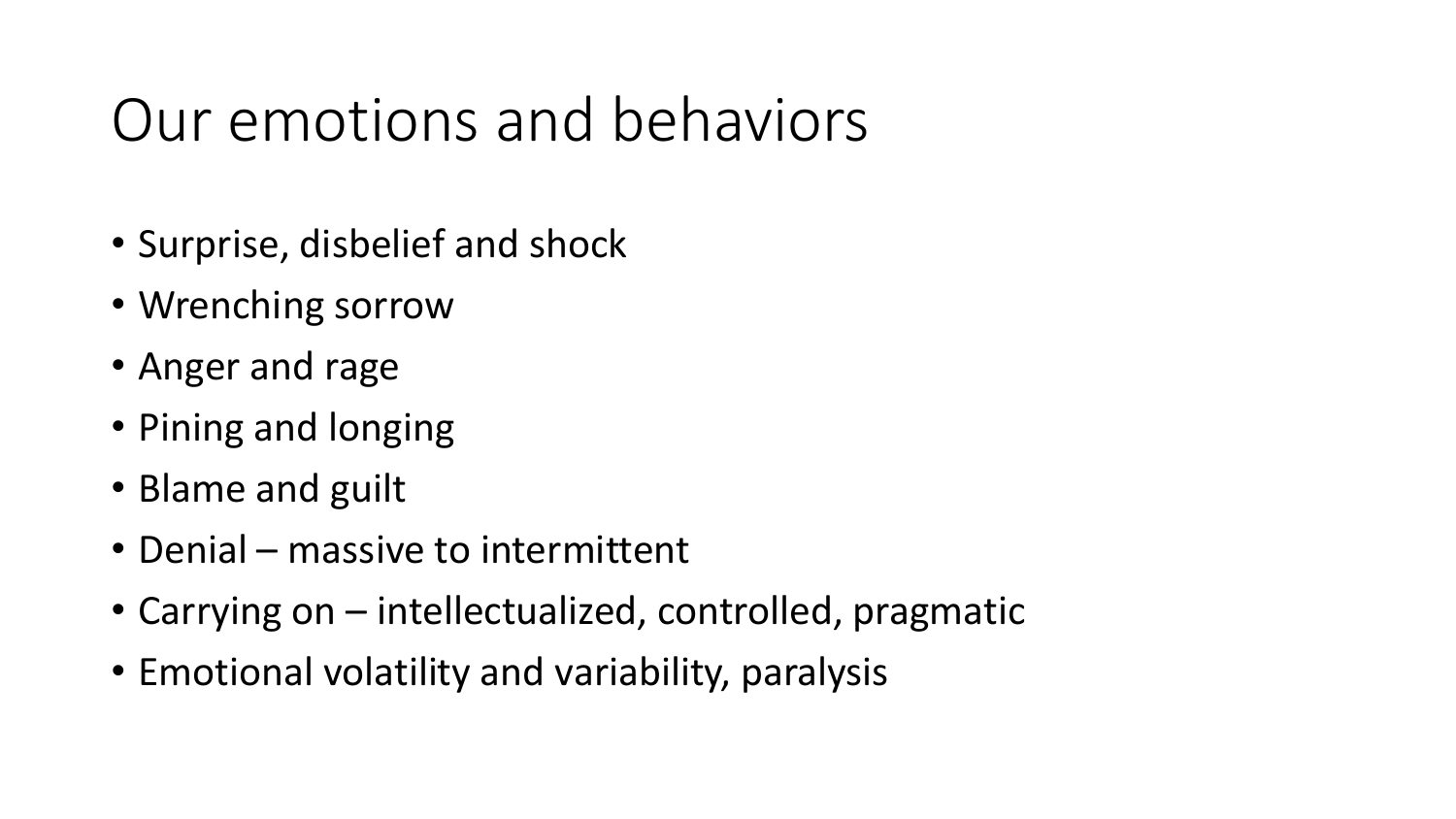## Our emotions and behaviors

- Surprise, disbelief and shock
- Wrenching sorrow
- Anger and rage
- Pining and longing
- Blame and guilt
- Denial massive to intermittent
- Carrying on intellectualized, controlled, pragmatic
- Emotional volatility and variability, paralysis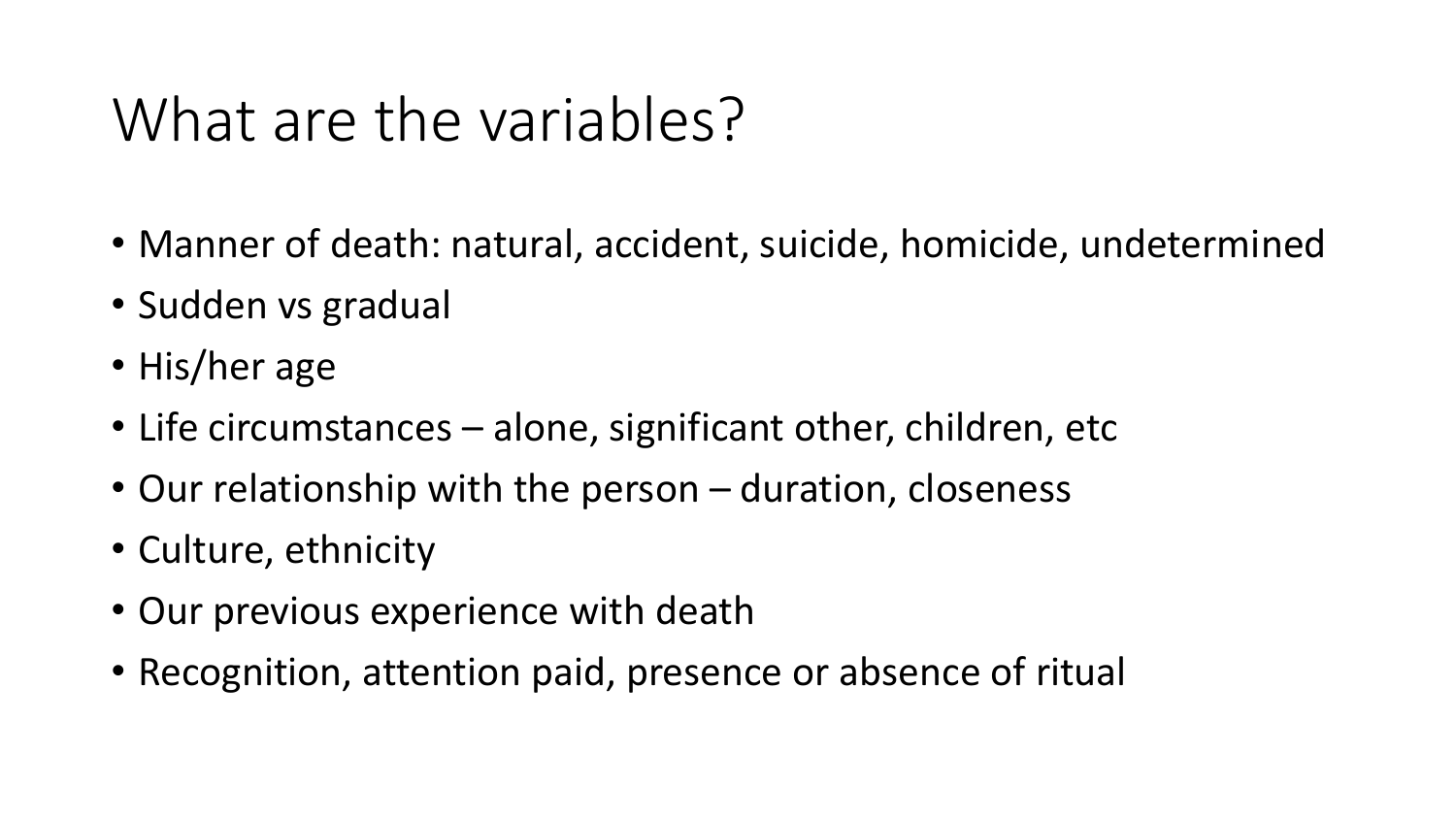### What are the variables?

- Manner of death: natural, accident, suicide, homicide, undetermined
- Sudden vs gradual
- His/her age
- Life circumstances alone, significant other, children, etc
- Our relationship with the person duration, closeness
- Culture, ethnicity
- Our previous experience with death
- Recognition, attention paid, presence or absence of ritual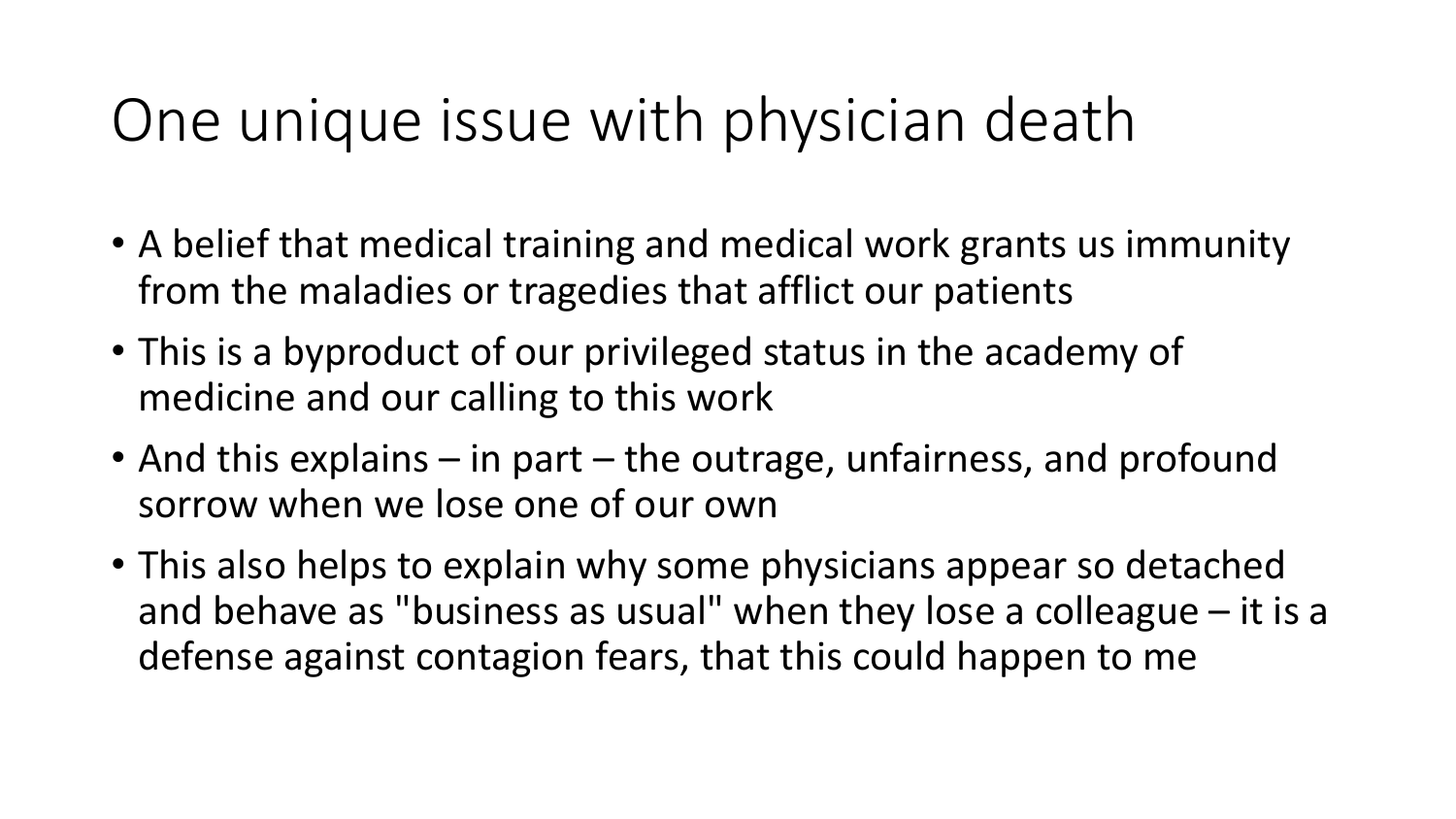### One unique issue with physician death

- A belief that medical training and medical work grants us immunity from the maladies or tragedies that afflict our patients
- This is a byproduct of our privileged status in the academy of medicine and our calling to this work
- And this explains in part the outrage, unfairness, and profound sorrow when we lose one of our own
- This also helps to explain why some physicians appear so detached and behave as "business as usual" when they lose a colleague – it is a defense against contagion fears, that this could happen to me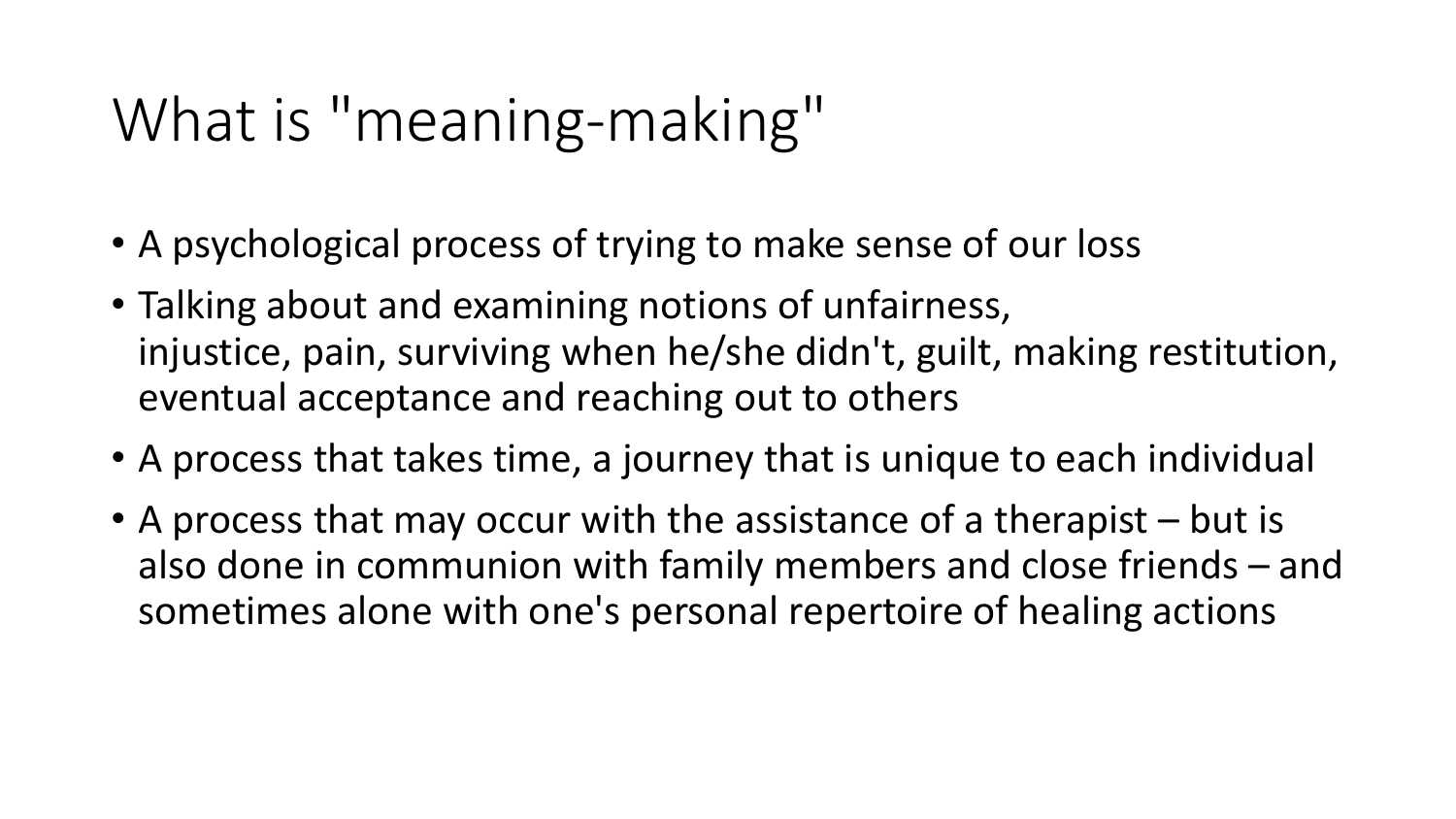## What is "meaning-making"

- A psychological process of trying to make sense of our loss
- Talking about and examining notions of unfairness, injustice, pain, surviving when he/she didn't, guilt, making restitution, eventual acceptance and reaching out to others
- A process that takes time, a journey that is unique to each individual
- A process that may occur with the assistance of a therapist but is also done in communion with family members and close friends – and sometimes alone with one's personal repertoire of healing actions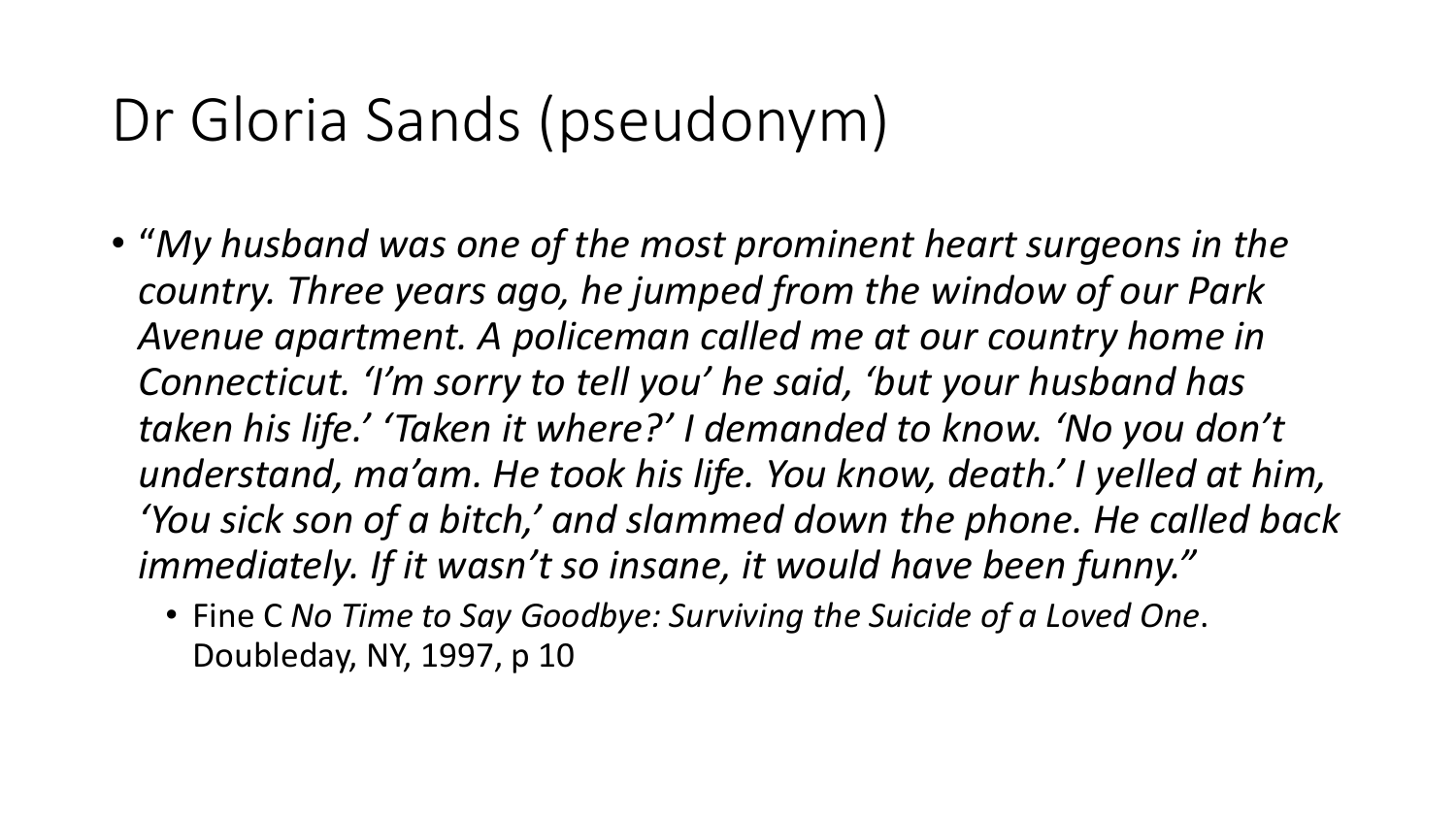## Dr Gloria Sands (pseudonym)

- "*My husband was one of the most prominent heart surgeons in the country. Three years ago, he jumped from the window of our Park Avenue apartment. A policeman called me at our country home in Connecticut. 'I'm sorry to tell you' he said, 'but your husband has taken his life.' 'Taken it where?' I demanded to know. 'No you don't understand, ma'am. He took his life. You know, death.' I yelled at him, 'You sick son of a bitch,' and slammed down the phone. He called back immediately. If it wasn't so insane, it would have been funny."*
	- Fine C *No Time to Say Goodbye: Surviving the Suicide of a Loved One*. Doubleday, NY, 1997, p 10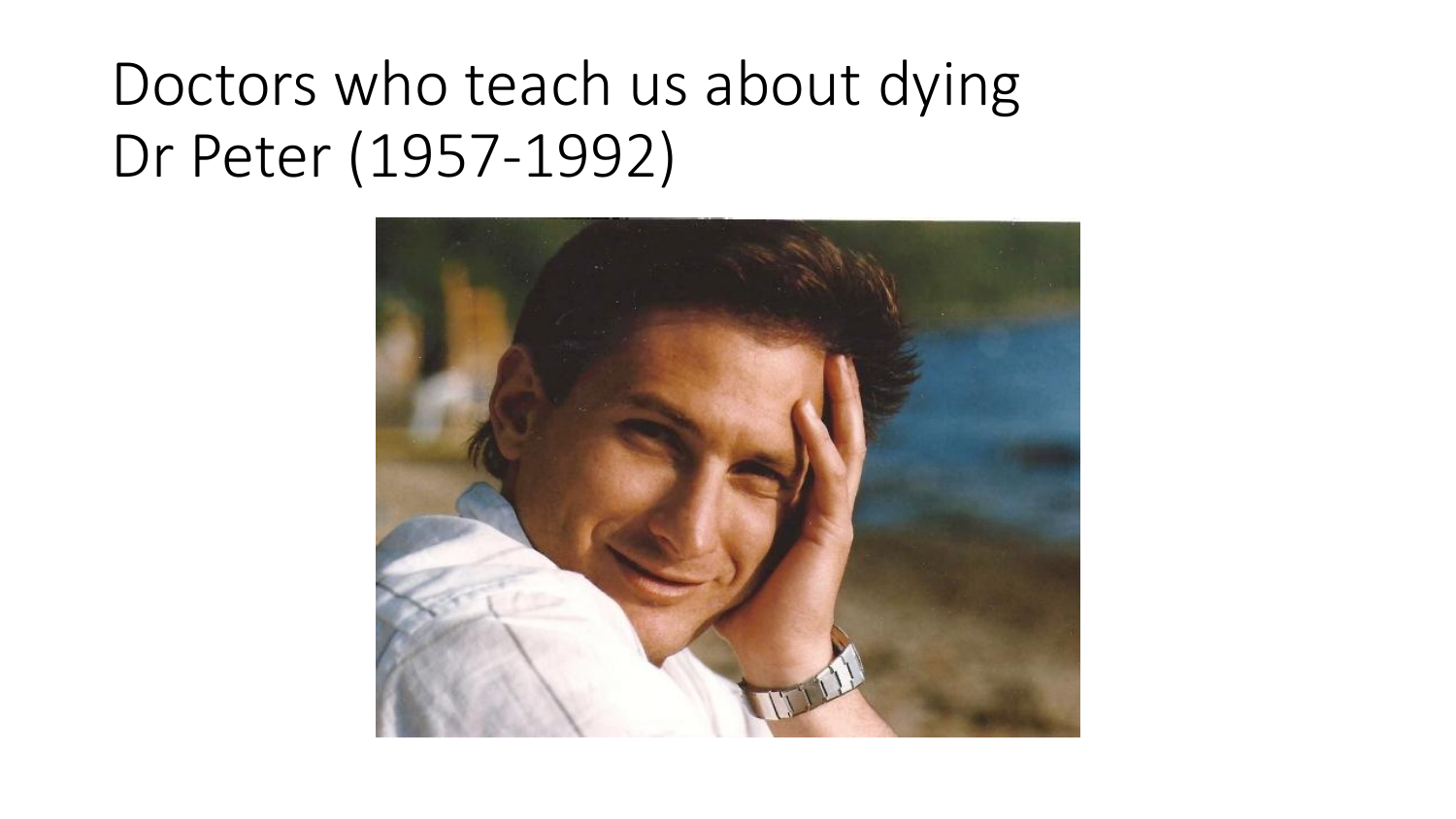## Doctors who teach us about dying Dr Peter (1957-1992)

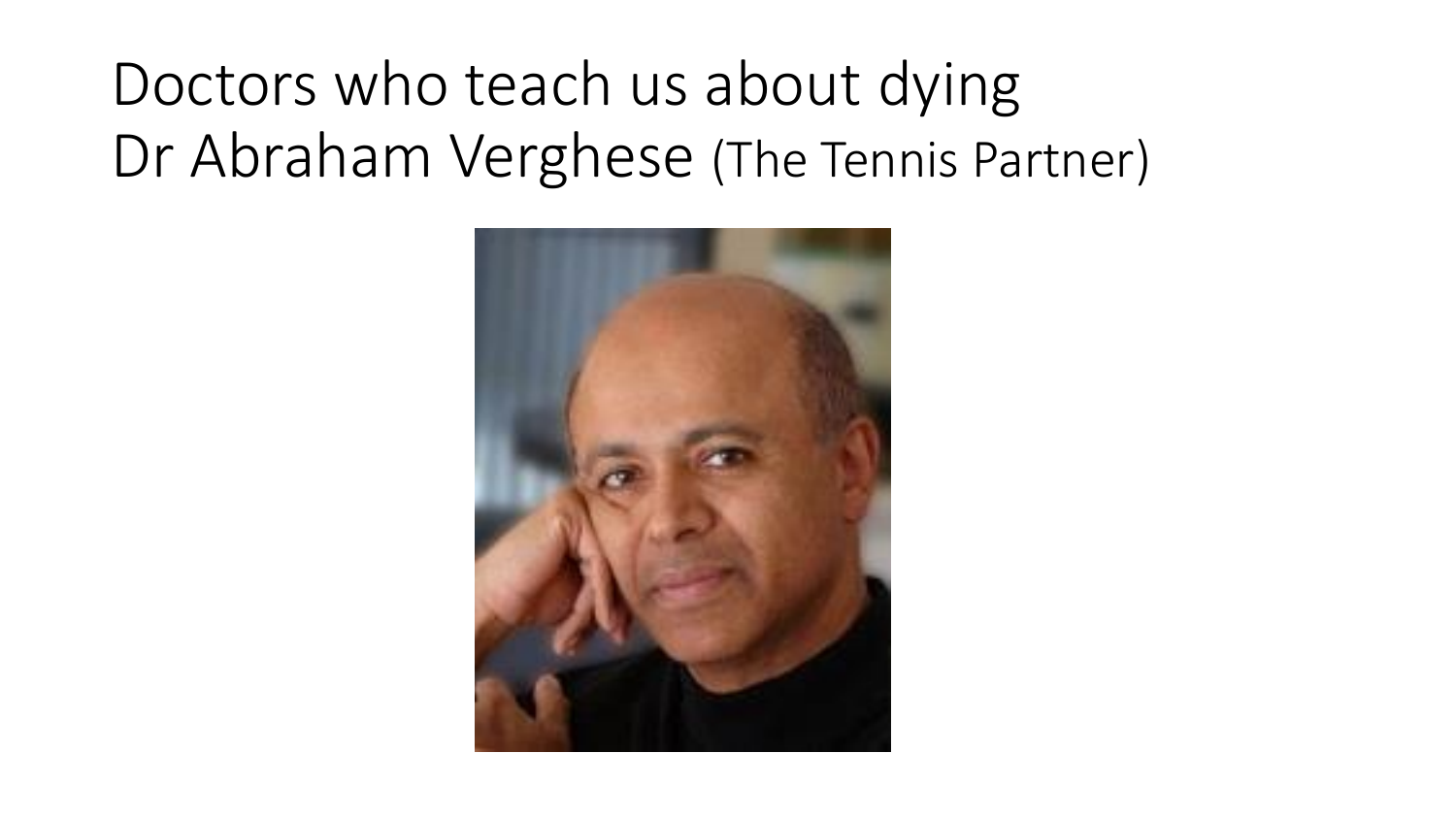## Doctors who teach us about dying Dr Abraham Verghese (The Tennis Partner)

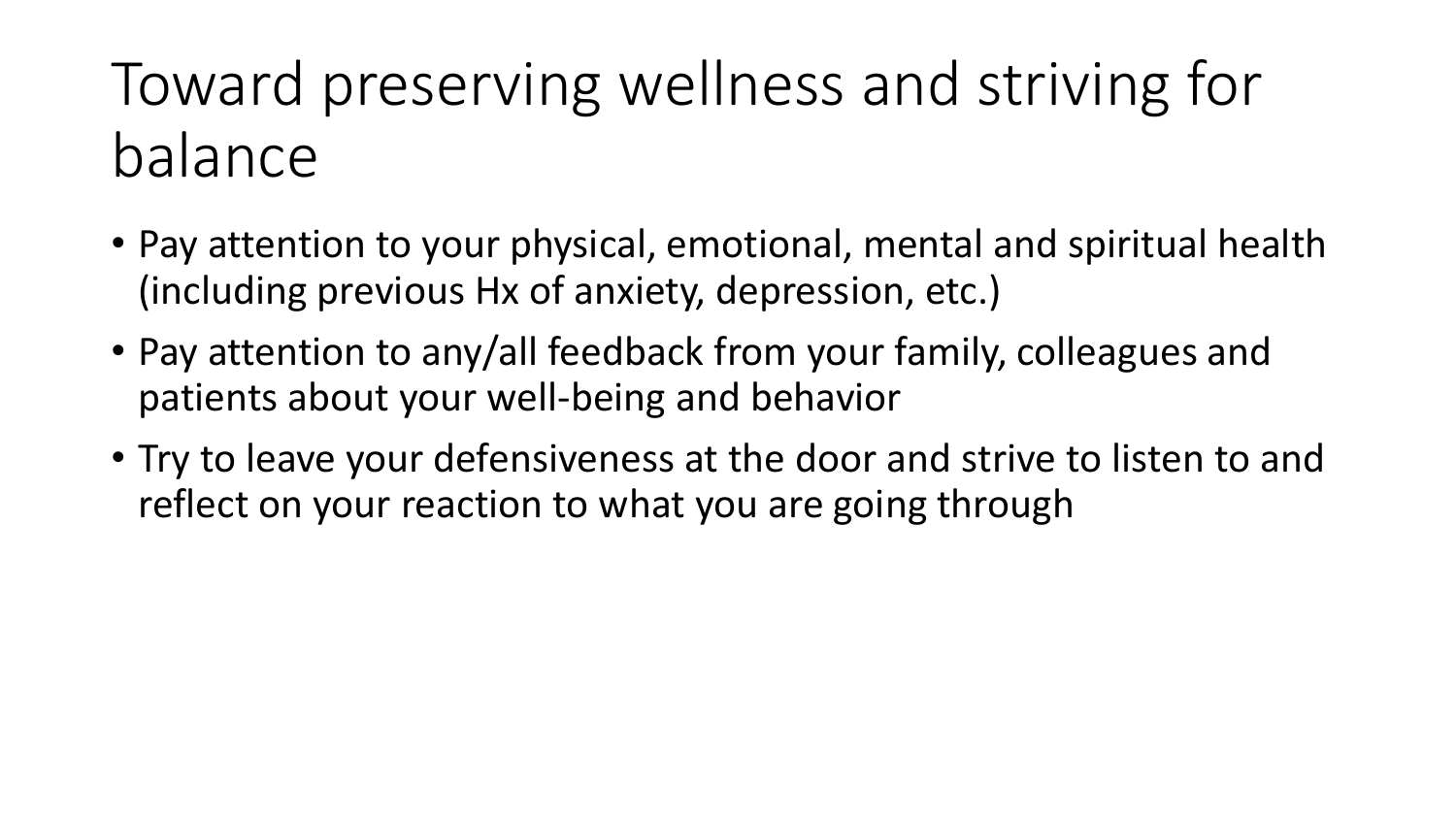## Toward preserving wellness and striving for balance

- Pay attention to your physical, emotional, mental and spiritual health (including previous Hx of anxiety, depression, etc.)
- Pay attention to any/all feedback from your family, colleagues and patients about your well-being and behavior
- Try to leave your defensiveness at the door and strive to listen to and reflect on your reaction to what you are going through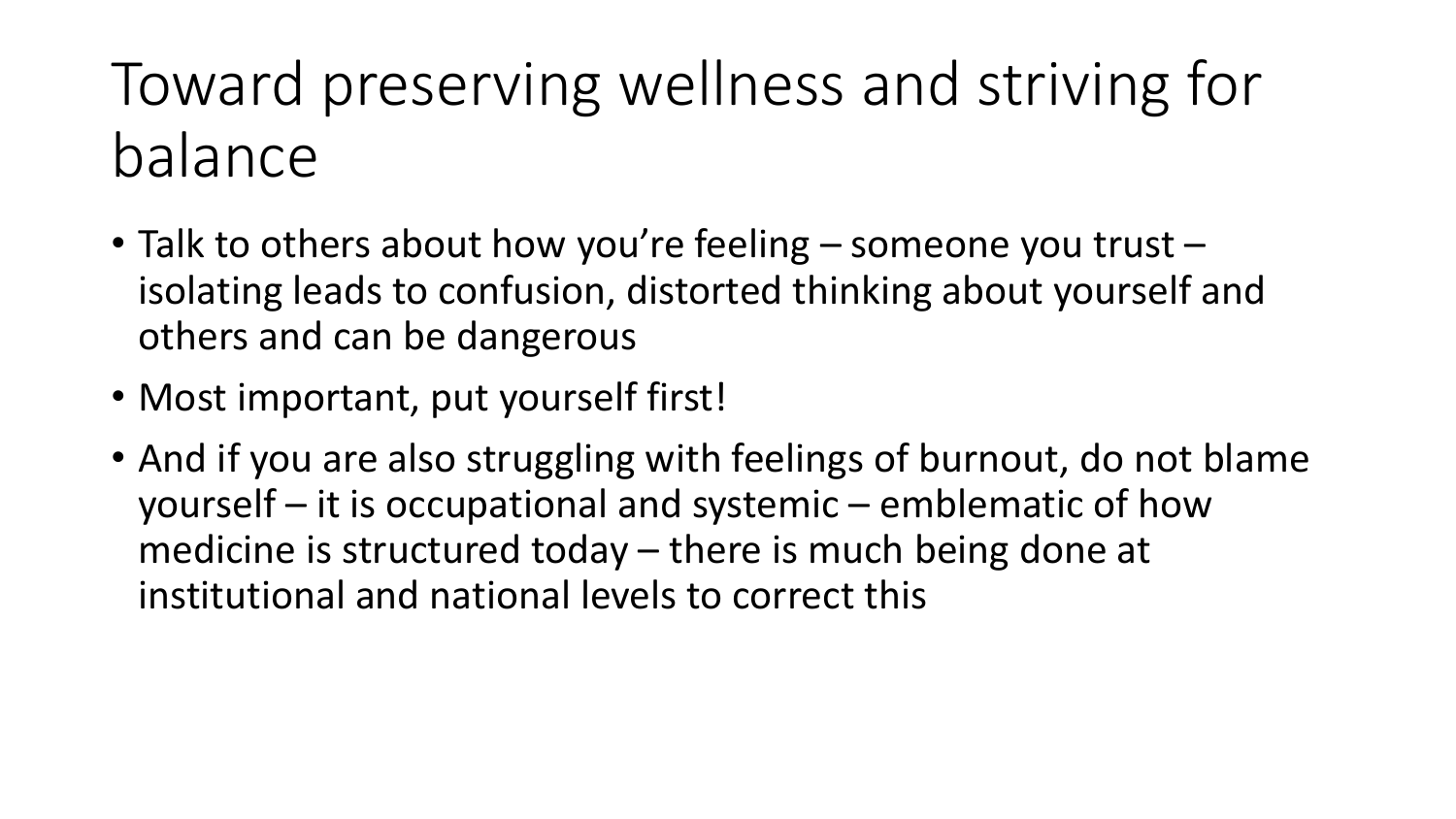## Toward preserving wellness and striving for balance

- Talk to others about how you're feeling someone you trust isolating leads to confusion, distorted thinking about yourself and others and can be dangerous
- Most important, put yourself first!
- And if you are also struggling with feelings of burnout, do not blame yourself – it is occupational and systemic – emblematic of how medicine is structured today – there is much being done at institutional and national levels to correct this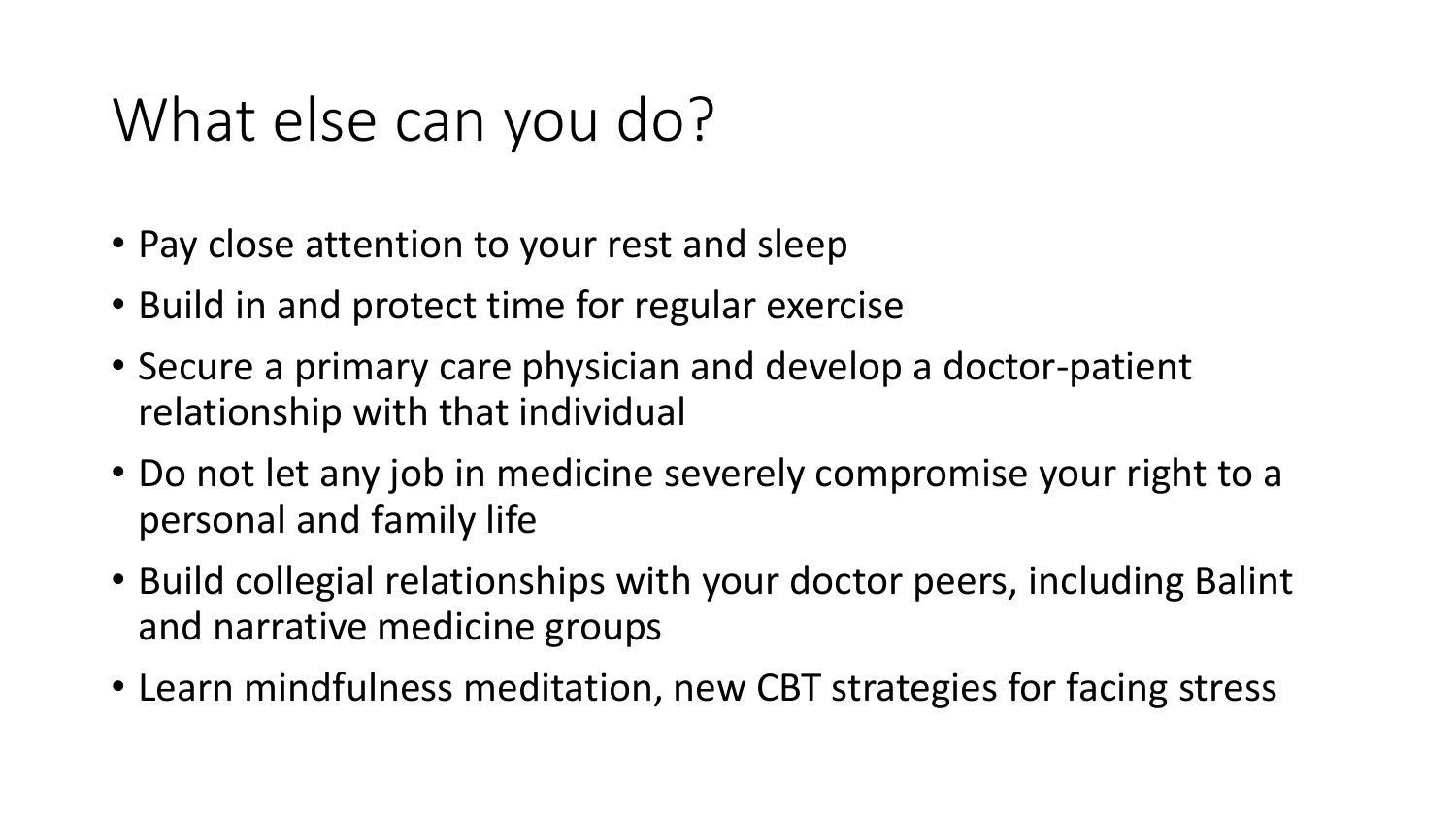## What else can you do?

- Pay close attention to your rest and sleep
- Build in and protect time for regular exercise
- Secure a primary care physician and develop a doctor-patient relationship with that individual
- Do not let any job in medicine severely compromise your right to a personal and family life
- Build collegial relationships with your doctor peers, including Balint and narrative medicine groups
- Learn mindfulness meditation, new CBT strategies for facing stress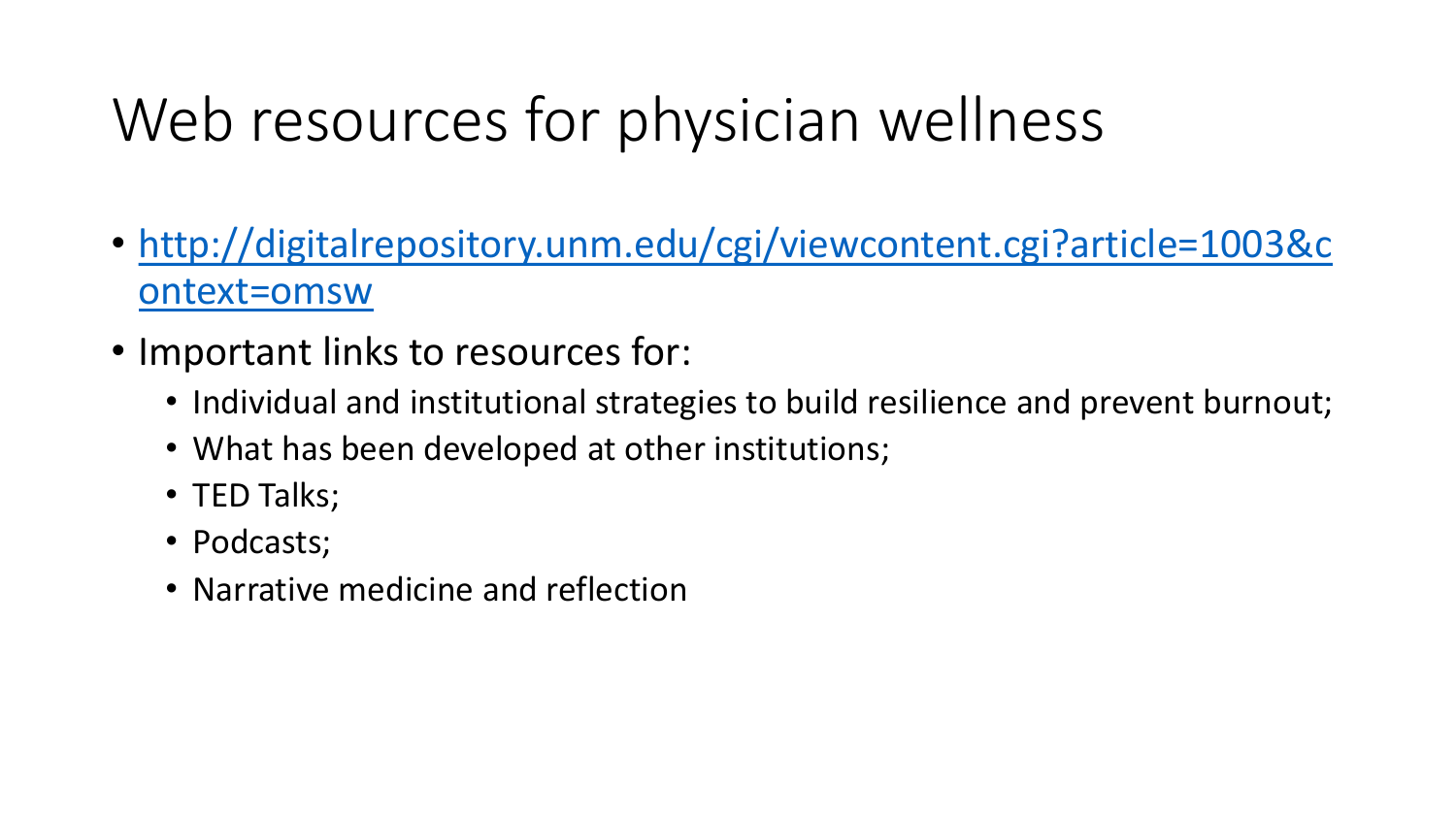## Web resources for physician wellness

- [http://digitalrepository.unm.edu/cgi/viewcontent.cgi?article=1003&c](http://digitalrepository.unm.edu/cgi/viewcontent.cgi?article=1003&context=omsw) ontext=omsw
- Important links to resources for:
	- Individual and institutional strategies to build resilience and prevent burnout;
	- What has been developed at other institutions;
	- TED Talks;
	- Podcasts;
	- Narrative medicine and reflection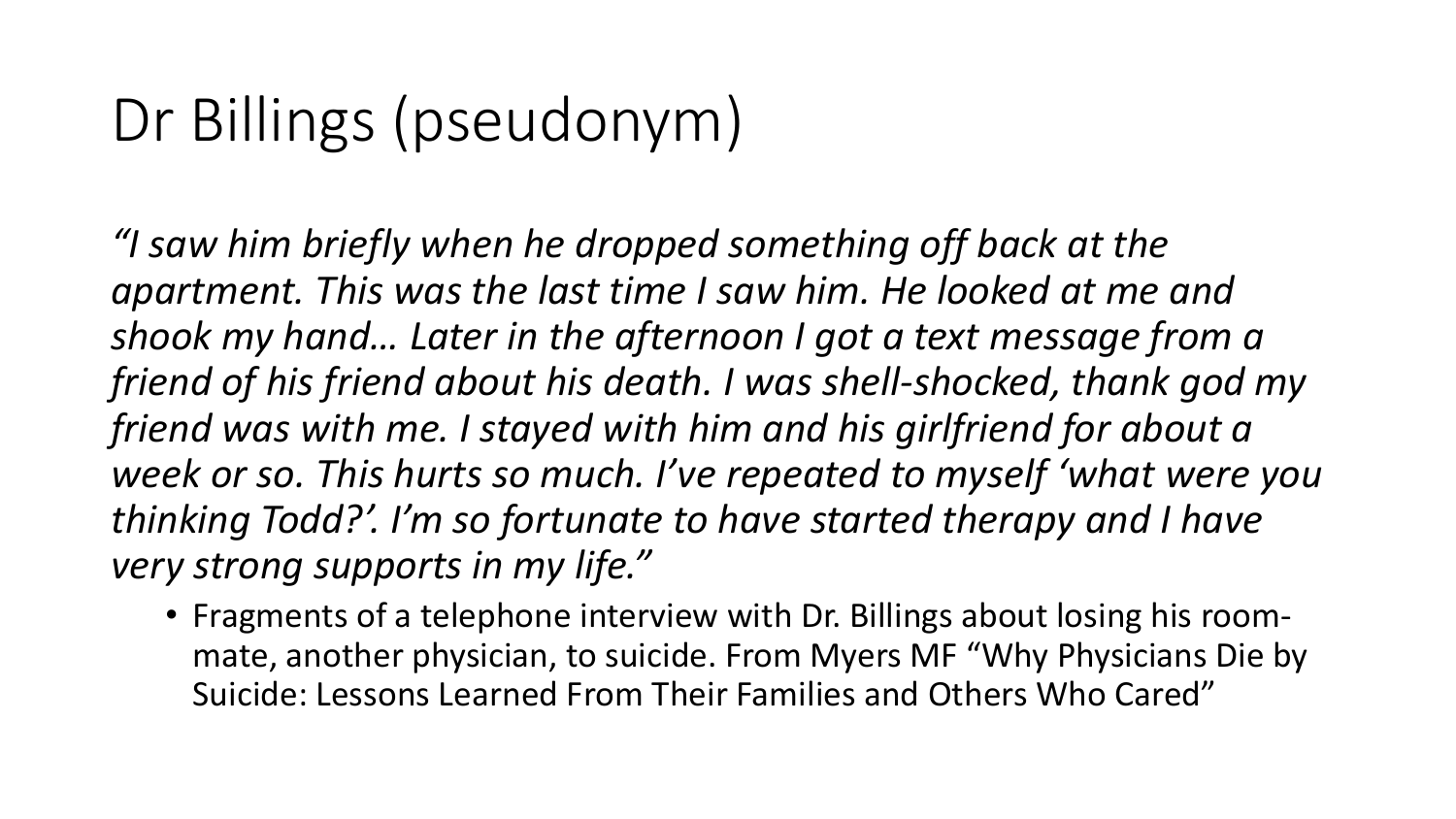## Dr Billings (pseudonym)

*"I saw him briefly when he dropped something off back at the apartment. This was the last time I saw him. He looked at me and shook my hand… Later in the afternoon I got a text message from a friend of his friend about his death. I was shell-shocked, thank god my friend was with me. I stayed with him and his girlfriend for about a week or so. This hurts so much. I've repeated to myself 'what were you thinking Todd?'. I'm so fortunate to have started therapy and I have very strong supports in my life."*

• Fragments of a telephone interview with Dr. Billings about losing his roommate, another physician, to suicide. From Myers MF "Why Physicians Die by Suicide: Lessons Learned From Their Families and Others Who Cared"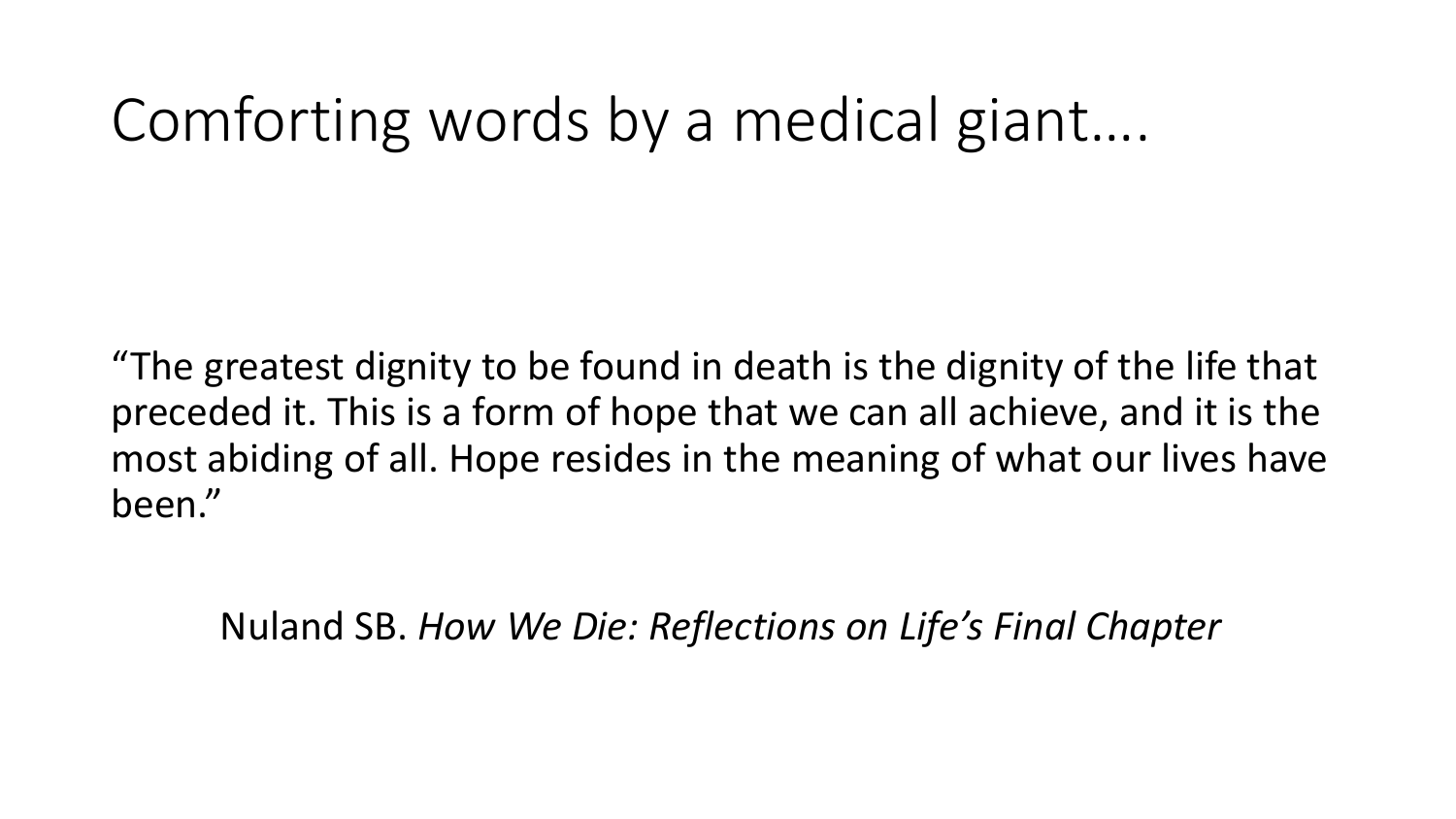### Comforting words by a medical giant….

"The greatest dignity to be found in death is the dignity of the life that preceded it. This is a form of hope that we can all achieve, and it is the most abiding of all. Hope resides in the meaning of what our lives have been."

Nuland SB. *How We Die: Reflections on Life's Final Chapter*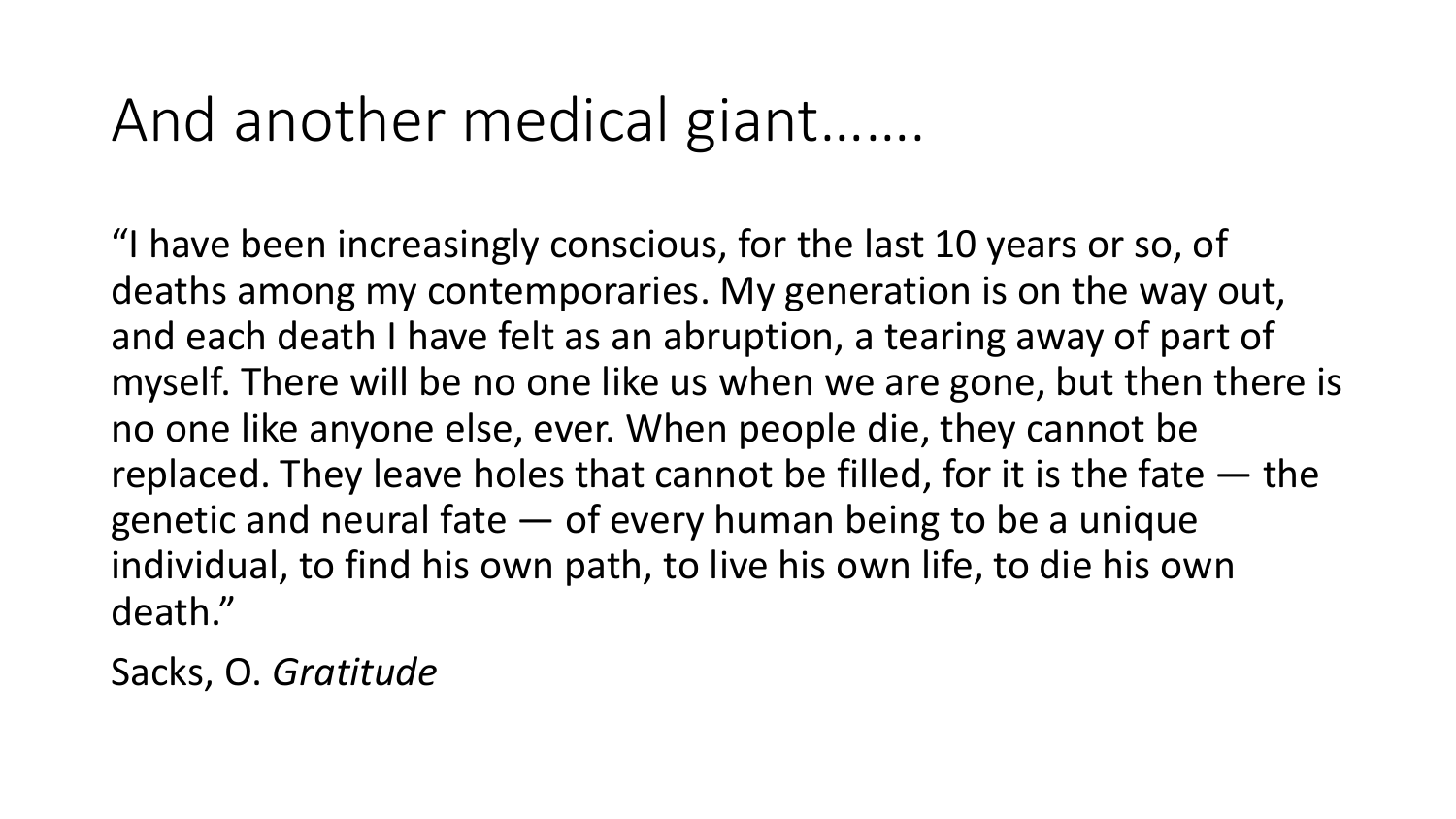#### And another medical giant…….

"I have been increasingly conscious, for the last 10 years or so, of deaths among my contemporaries. My generation is on the way out, and each death I have felt as an abruption, a tearing away of part of myself. There will be no one like us when we are gone, but then there is no one like anyone else, ever. When people die, they cannot be replaced. They leave holes that cannot be filled, for it is the fate — the genetic and neural fate — of every human being to be a unique individual, to find his own path, to live his own life, to die his own death."

Sacks, O. *Gratitude*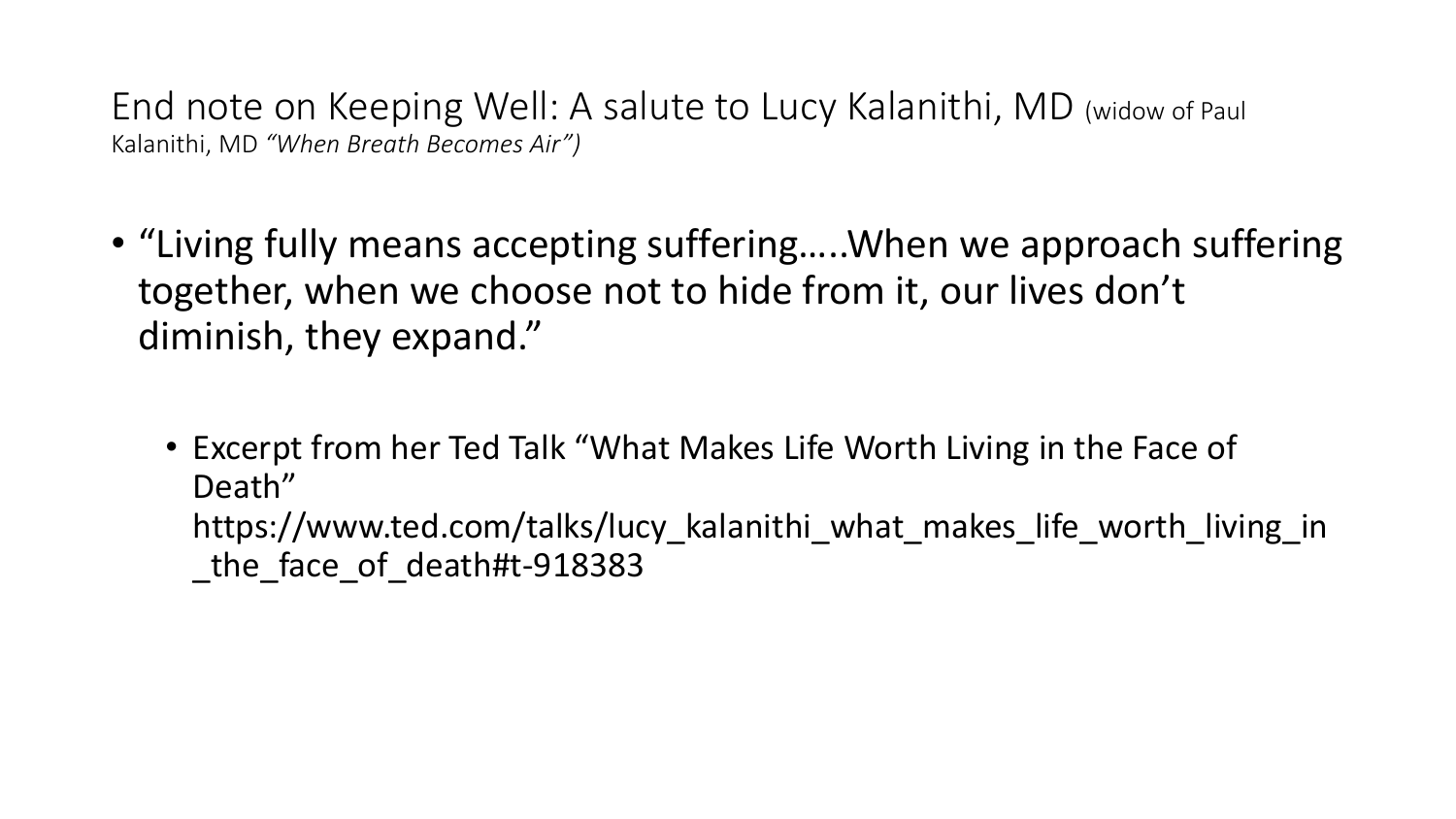End note on Keeping Well: A salute to Lucy Kalanithi, MD (widow of Paul Kalanithi, MD *"When Breath Becomes Air")*

- "Living fully means accepting suffering…..When we approach suffering together, when we choose not to hide from it, our lives don't diminish, they expand."
	- Excerpt from her Ted Talk "What Makes Life Worth Living in the Face of Death" https://www.ted.com/talks/lucy kalanithi what makes life worth living in the face of death#t-918383